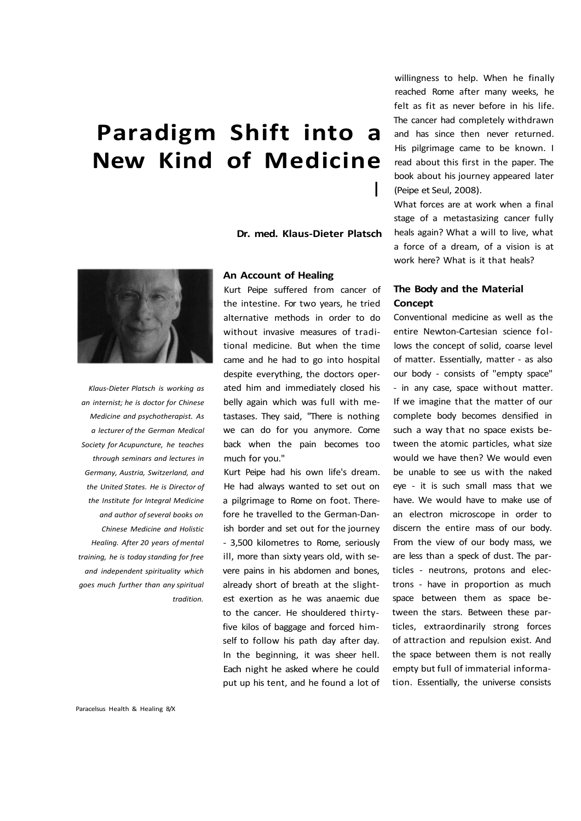**Dr. med. Klaus-Dieter Platsch** 

I



*Klaus-Dieter Platsch is working as an internist; he is doctor for Chinese Medicine and psychotherapist. As a lecturer of the German Medical Society for Acupuncture, he teaches through seminars and lectures in Germany, Austria, Switzerland, and the United States. He is Director of the Institute for Integral Medicine and author of several books on Chinese Medicine and Holistic Healing. After 20 years of mental training, he is today standing for free and independent spirituality which goes much further than any spiritual tradition.* 

### **An Account of Healing**

Kurt Peipe suffered from cancer of the intestine. For two years, he tried alternative methods in order to do without invasive measures of traditional medicine. But when the time came and he had to go into hospital despite everything, the doctors operated him and immediately closed his belly again which was full with metastases. They said, "There is nothing we can do for you anymore. Come back when the pain becomes too much for you."

Kurt Peipe had his own life's dream. He had always wanted to set out on a pilgrimage to Rome on foot. Therefore he travelled to the German-Danish border and set out for the journey - 3,500 kilometres to Rome, seriously ill, more than sixty years old, with severe pains in his abdomen and bones, already short of breath at the slightest exertion as he was anaemic due to the cancer. He shouldered thirtyfive kilos of baggage and forced himself to follow his path day after day. In the beginning, it was sheer hell. Each night he asked where he could put up his tent, and he found a lot of willingness to help. When he finally reached Rome after many weeks, he felt as fit as never before in his life. The cancer had completely withdrawn and has since then never returned. His pilgrimage came to be known. I read about this first in the paper. The book about his journey appeared later (Peipe et Seul, 2008).

What forces are at work when a final stage of a metastasizing cancer fully heals again? What a will to live, what a force of a dream, of a vision is at work here? What is it that heals?

## **The Body and the Material Concept**

Conventional medicine as well as the entire Newton-Cartesian science follows the concept of solid, coarse level of matter. Essentially, matter - as also our body - consists of "empty space" - in any case, space without matter. If we imagine that the matter of our complete body becomes densified in such a way that no space exists between the atomic particles, what size would we have then? We would even be unable to see us with the naked eye - it is such small mass that we have. We would have to make use of an electron microscope in order to discern the entire mass of our body. From the view of our body mass, we are less than a speck of dust. The particles - neutrons, protons and electrons - have in proportion as much space between them as space between the stars. Between these particles, extraordinarily strong forces of attraction and repulsion exist. And the space between them is not really empty but full of immaterial information. Essentially, the universe consists

Paracelsus Health & Healing 8/X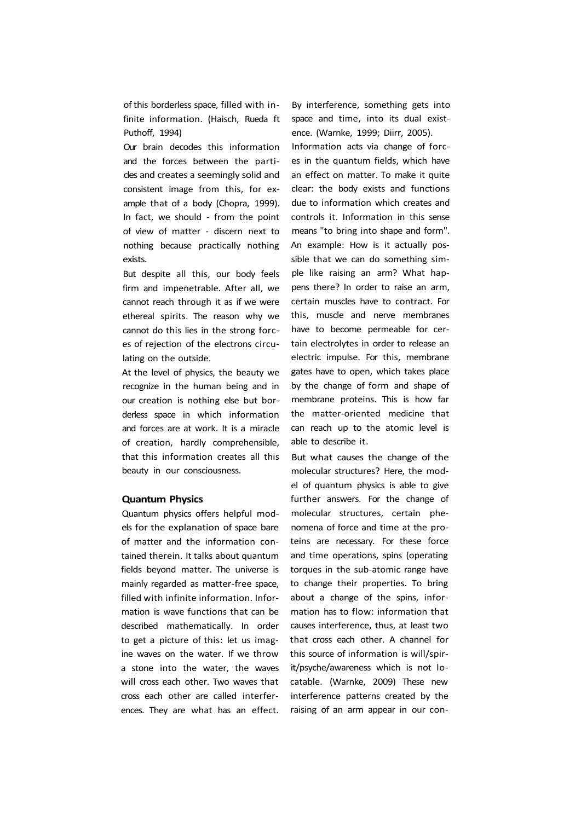of this borderless space, filled with infinite information. (Haisch, Rueda ft Puthoff, 1994)

Our brain decodes this information and the forces between the particles and creates a seemingly solid and consistent image from this, for example that of a body (Chopra, 1999). In fact, we should - from the point of view of matter - discern next to nothing because practically nothing exists.

But despite all this, our body feels firm and impenetrable. After all, we cannot reach through it as if we were ethereal spirits. The reason why we cannot do this lies in the strong forces of rejection of the electrons circulating on the outside.

At the level of physics, the beauty we recognize in the human being and in our creation is nothing else but borderless space in which information and forces are at work. It is a miracle of creation, hardly comprehensible, that this information creates all this beauty in our consciousness.

#### **Quantum Physics**

Quantum physics offers helpful models for the explanation of space bare of matter and the information contained therein. It talks about quantum fields beyond matter. The universe is mainly regarded as matter-free space, filled with infinite information. Information is wave functions that can be described mathematically. In order to get a picture of this: let us imagine waves on the water. If we throw a stone into the water, the waves will cross each other. Two waves that cross each other are called interferences. They are what has an effect.

By interference, something gets into space and time, into its dual existence. (Warnke, 1999; Diirr, 2005).

Information acts via change of forces in the quantum fields, which have an effect on matter. To make it quite clear: the body exists and functions due to information which creates and controls it. Information in this sense means "to bring into shape and form". An example: How is it actually possible that we can do something simple like raising an arm? What happens there? In order to raise an arm, certain muscles have to contract. For this, muscle and nerve membranes have to become permeable for certain electrolytes in order to release an electric impulse. For this, membrane gates have to open, which takes place by the change of form and shape of membrane proteins. This is how far the matter-oriented medicine that can reach up to the atomic level is able to describe it.

But what causes the change of the molecular structures? Here, the model of quantum physics is able to give further answers. For the change of molecular structures, certain phenomena of force and time at the proteins are necessary. For these force and time operations, spins (operating torques in the sub-atomic range have to change their properties. To bring about a change of the spins, information has to flow: information that causes interference, thus, at least two that cross each other. A channel for this source of information is will/spirit/psyche/awareness which is not locatable. (Warnke, 2009) These new interference patterns created by the raising of an arm appear in our con-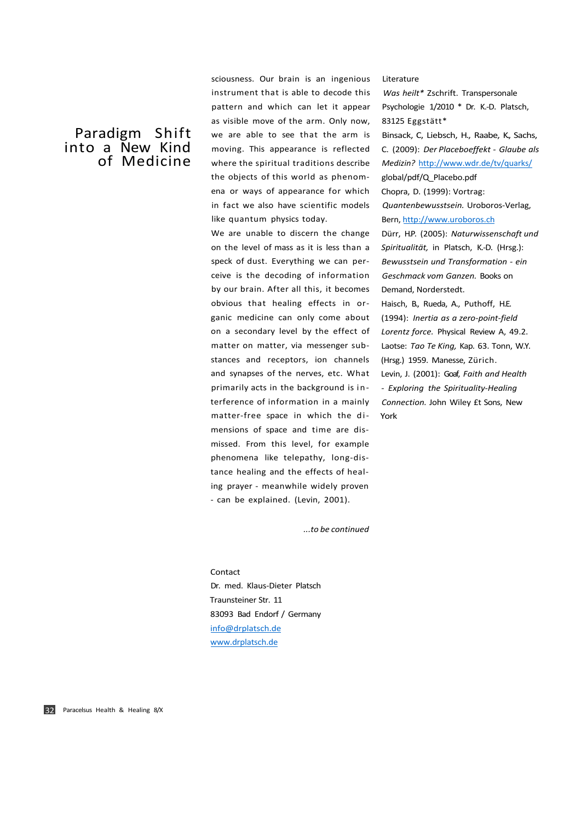sciousness. Our brain is an ingenious instrument that is able to decode this pattern and which can let it appear as visible move of the arm. Only now, we are able to see that the arm is moving. This appearance is reflected where the spiritual traditions describe the objects of this world as phenomena or ways of appearance for which in fact we also have scientific models like quantum physics today.

We are unable to discern the change on the level of mass as it is less than a speck of dust. Everything we can perceive is the decoding of information by our brain. After all this, it becomes obvious that healing effects in organic medicine can only come about on a secondary level by the effect of matter on matter, via messenger substances and receptors, ion channels and synapses of the nerves, etc. What primarily acts in the background is interference of information in a mainly matter-free space in which the dimensions of space and time are dismissed. From this level, for example phenomena like telepathy, long-distance healing and the effects of healing prayer - meanwhile widely proven - can be explained. (Levin, 2001).

Literature

*Was heilt\** Zschrift. Transpersonale Psychologie 1/2010 \* Dr. K.-D. Platsch, 83125 Eggstätt\* Binsack, C, Liebsch, H., Raabe, K., Sachs, C. (2009): *Der Placeboeffekt - Glaube als Medizin?* <http://www.wdr.de/tv/quarks/> global/pdf/Q\_Placebo.pdf Chopra, D. (1999): Vortrag: *Quantenbewusstsein.* Uroboros-Verlag, Bern, <http://www.uroboros.ch> Dürr, H.P. (2005): *Naturwissenschaft und Spiritualität,* in Platsch, K.-D. (Hrsg.): *Bewusstsein und Transformation - ein Geschmack vom Ganzen.* Books on Demand, Norderstedt.

Haisch, B., Rueda, A., Puthoff, H.E. (1994): *Inertia as a zero-point-field Lorentz force.* Physical Review A, 49.2. Laotse: *Tao Te King,* Kap. 63. Tonn, W.Y. (Hrsg.) 1959. Manesse, Zürich.

Levin, J. (2001): Goaf, *Faith and Health - Exploring the Spirituality-Healing Connection.* John Wiley £t Sons, New York

*...to be continued* 

# Contact Dr. med. Klaus-Dieter Platsch

Traunsteiner Str. 11 83093 Bad Endorf / Germany [info@drplatsch.de](mailto:info@drplatsch.de) [www.drplatsch.de](http://www.drplatsch.de)

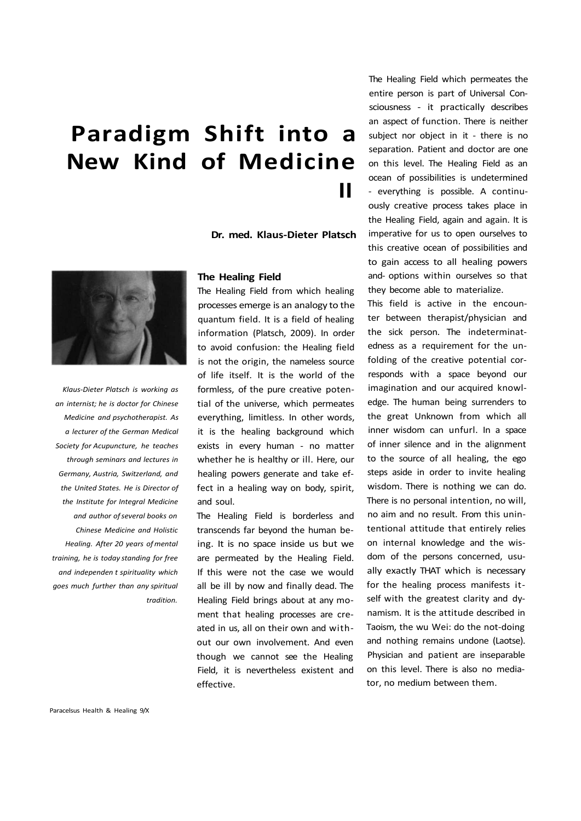**Dr. med. Klaus-Dieter Platsch** 



*Klaus-Dieter Platsch is working as an internist; he is doctor for Chinese Medicine and psychotherapist. As a lecturer of the German Medical Society for Acupuncture, he teaches through seminars and lectures in Germany, Austria, Switzerland, and the United States. He is Director of the Institute for Integral Medicine and author of several books on Chinese Medicine and Holistic Healing. After 20 years of mental training, he is today standing for free and independen t spirituality which goes much further than any spiritual tradition.* 

### **The Healing Field**

The Healing Field from which healing processes emerge is an analogy to the quantum field. It is a field of healing information (Platsch, 2009). In order to avoid confusion: the Healing field is not the origin, the nameless source of life itself. It is the world of the formless, of the pure creative potential of the universe, which permeates everything, limitless. In other words, it is the healing background which exists in every human - no matter whether he is healthy or ill. Here, our healing powers generate and take effect in a healing way on body, spirit, and soul.

The Healing Field is borderless and transcends far beyond the human being. It is no space inside us but we are permeated by the Healing Field. If this were not the case we would all be ill by now and finally dead. The Healing Field brings about at any moment that healing processes are created in us, all on their own and without our own involvement. And even though we cannot see the Healing Field, it is nevertheless existent and effective.

The Healing Field which permeates the entire person is part of Universal Consciousness - it practically describes an aspect of function. There is neither subject nor object in it - there is no separation. Patient and doctor are one on this level. The Healing Field as an ocean of possibilities is undetermined - everything is possible. A continuously creative process takes place in the Healing Field, again and again. It is imperative for us to open ourselves to this creative ocean of possibilities and to gain access to all healing powers and- options within ourselves so that they become able to materialize.

This field is active in the encounter between therapist/physician and the sick person. The indeterminatedness as a requirement for the unfolding of the creative potential corresponds with a space beyond our imagination and our acquired knowledge. The human being surrenders to the great Unknown from which all inner wisdom can unfurl. In a space of inner silence and in the alignment to the source of all healing, the ego steps aside in order to invite healing wisdom. There is nothing we can do. There is no personal intention, no will, no aim and no result. From this unintentional attitude that entirely relies on internal knowledge and the wisdom of the persons concerned, usually exactly THAT which is necessary for the healing process manifests itself with the greatest clarity and dynamism. It is the attitude described in Taoism, the wu Wei: do the not-doing and nothing remains undone (Laotse). Physician and patient are inseparable on this level. There is also no mediator, no medium between them.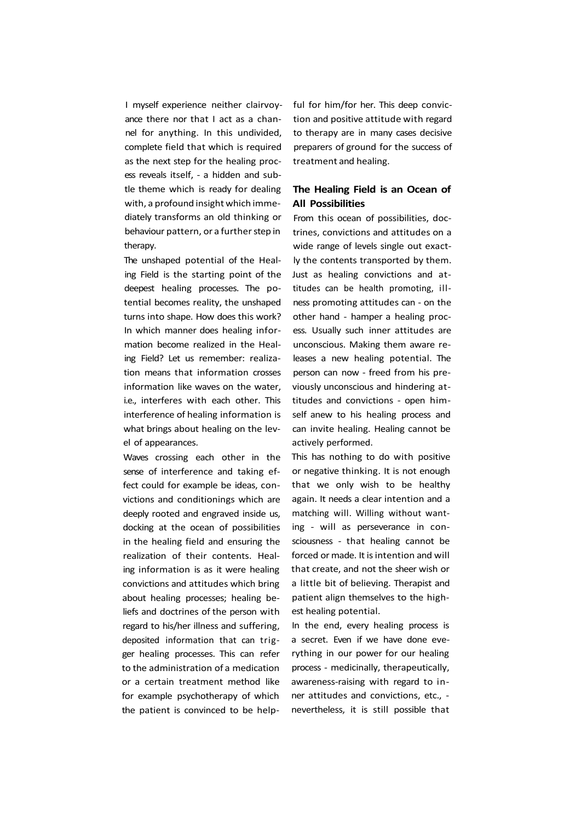I myself experience neither clairvoyance there nor that I act as a channel for anything. In this undivided, complete field that which is required as the next step for the healing process reveals itself, - a hidden and subtle theme which is ready for dealing with, a profound insight which immediately transforms an old thinking or behaviour pattern, or a further step in therapy.

The unshaped potential of the Healing Field is the starting point of the deepest healing processes. The potential becomes reality, the unshaped turns into shape. How does this work? In which manner does healing information become realized in the Healing Field? Let us remember: realization means that information crosses information like waves on the water, i.e., interferes with each other. This interference of healing information is what brings about healing on the level of appearances.

Waves crossing each other in the sense of interference and taking effect could for example be ideas, convictions and conditionings which are deeply rooted and engraved inside us, docking at the ocean of possibilities in the healing field and ensuring the realization of their contents. Healing information is as it were healing convictions and attitudes which bring about healing processes; healing beliefs and doctrines of the person with regard to his/her illness and suffering, deposited information that can trigger healing processes. This can refer to the administration of a medication or a certain treatment method like for example psychotherapy of which the patient is convinced to be helpful for him/for her. This deep conviction and positive attitude with regard to therapy are in many cases decisive preparers of ground for the success of treatment and healing.

## **The Healing Field is an Ocean of All Possibilities**

From this ocean of possibilities, doctrines, convictions and attitudes on a wide range of levels single out exactly the contents transported by them. Just as healing convictions and attitudes can be health promoting, illness promoting attitudes can - on the other hand - hamper a healing process. Usually such inner attitudes are unconscious. Making them aware releases a new healing potential. The person can now - freed from his previously unconscious and hindering attitudes and convictions - open himself anew to his healing process and can invite healing. Healing cannot be actively performed.

This has nothing to do with positive or negative thinking. It is not enough that we only wish to be healthy again. It needs a clear intention and a matching will. Willing without wanting - will as perseverance in consciousness - that healing cannot be forced or made. It is intention and will that create, and not the sheer wish or a little bit of believing. Therapist and patient align themselves to the highest healing potential.

In the end, every healing process is a secret. Even if we have done everything in our power for our healing process - medicinally, therapeutically, awareness-raising with regard to inner attitudes and convictions, etc., nevertheless, it is still possible that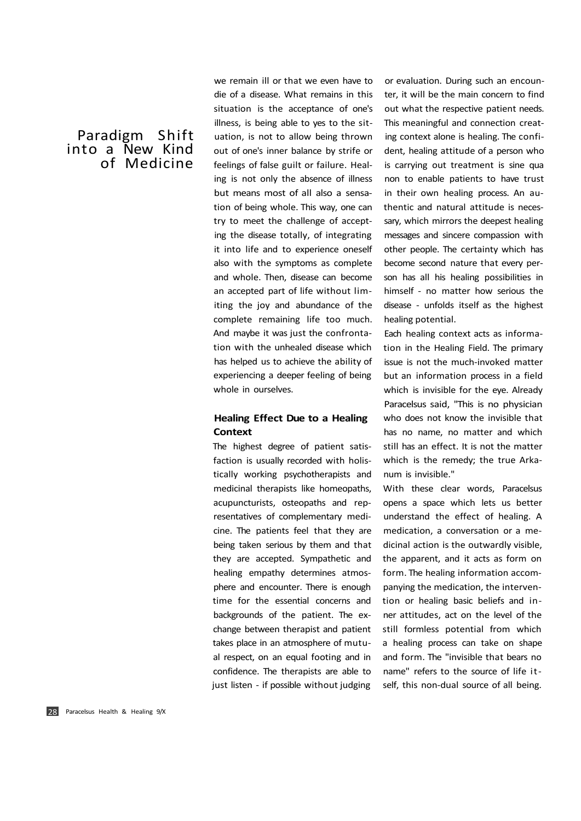we remain ill or that we even have to die of a disease. What remains in this situation is the acceptance of one's illness, is being able to yes to the situation, is not to allow being thrown out of one's inner balance by strife or feelings of false guilt or failure. Healing is not only the absence of illness but means most of all also a sensation of being whole. This way, one can try to meet the challenge of accepting the disease totally, of integrating it into life and to experience oneself also with the symptoms as complete and whole. Then, disease can become an accepted part of life without limiting the joy and abundance of the complete remaining life too much. And maybe it was just the confrontation with the unhealed disease which has helped us to achieve the ability of experiencing a deeper feeling of being whole in ourselves.

## **Healing Effect Due to a Healing Context**

The highest degree of patient satisfaction is usually recorded with holistically working psychotherapists and medicinal therapists like homeopaths, acupuncturists, osteopaths and representatives of complementary medicine. The patients feel that they are being taken serious by them and that they are accepted. Sympathetic and healing empathy determines atmosphere and encounter. There is enough time for the essential concerns and backgrounds of the patient. The exchange between therapist and patient takes place in an atmosphere of mutual respect, on an equal footing and in confidence. The therapists are able to just listen - if possible without judging

or evaluation. During such an encounter, it will be the main concern to find out what the respective patient needs. This meaningful and connection creating context alone is healing. The confident, healing attitude of a person who is carrying out treatment is sine qua non to enable patients to have trust in their own healing process. An authentic and natural attitude is necessary, which mirrors the deepest healing messages and sincere compassion with other people. The certainty which has become second nature that every person has all his healing possibilities in himself - no matter how serious the disease - unfolds itself as the highest healing potential.

Each healing context acts as information in the Healing Field. The primary issue is not the much-invoked matter but an information process in a field which is invisible for the eye. Already Paracelsus said, "This is no physician who does not know the invisible that has no name, no matter and which still has an effect. It is not the matter which is the remedy; the true Arkanum is invisible."

With these clear words, Paracelsus opens a space which lets us better understand the effect of healing. A medication, a conversation or a medicinal action is the outwardly visible, the apparent, and it acts as form on form. The healing information accompanying the medication, the intervention or healing basic beliefs and inner attitudes, act on the level of the still formless potential from which a healing process can take on shape and form. The "invisible that bears no name" refers to the source of life itself, this non-dual source of all being.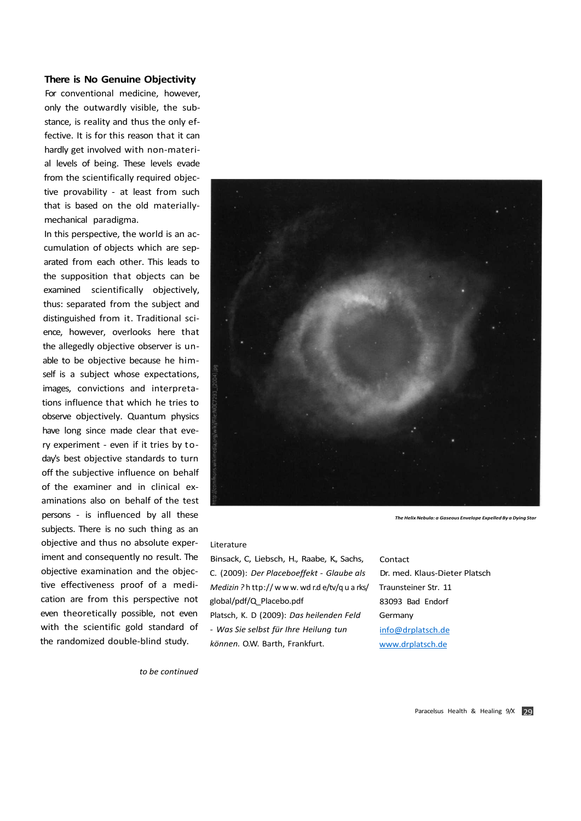### **There is No Genuine Objectivity**

For conventional medicine, however, only the outwardly visible, the substance, is reality and thus the only effective. It is for this reason that it can hardly get involved with non-material levels of being. These levels evade from the scientifically required objective provability - at least from such that is based on the old materiallymechanical paradigma.

In this perspective, the world is an accumulation of objects which are separated from each other. This leads to the supposition that objects can be examined scientifically objectively, thus: separated from the subject and distinguished from it. Traditional science, however, overlooks here that the allegedly objective observer is unable to be objective because he himself is a subject whose expectations, images, convictions and interpretations influence that which he tries to observe objectively. Quantum physics have long since made clear that every experiment - even if it tries by today's best objective standards to turn off the subjective influence on behalf of the examiner and in clinical examinations also on behalf of the test persons - is influenced by all these subjects. There is no such thing as an objective and thus no absolute experiment and consequently no result. The objective examination and the objective effectiveness proof of a medication are from this perspective not even theoretically possible, not even with the scientific gold standard of the randomized double-blind study.



*The Helix Nebula: a Gaseous Envelope Expelled By a Dying Star* 

#### Literature

Binsack, C, Liebsch, H., Raabe, K., Sachs, C. (2009): *Der Placeboeffekt - Glaube als Medizin ?* h ttp:// w w w. wd r.d e/tv/q u a rks/ global/pdf/Q\_Placebo.pdf Platsch, K. D (2009): *Das heilenden Feld - Was Sie selbst für Ihre Heilung tun können.* O.W. Barth, Frankfurt.

Contact Dr. med. Klaus-Dieter Platsch Traunsteiner Str. 11 83093 Bad Endorf **Germany** [info@drplatsch.de](mailto:info@drplatsch.de) [www.drplatsch.de](http://www.drplatsch.de)

*to be continued*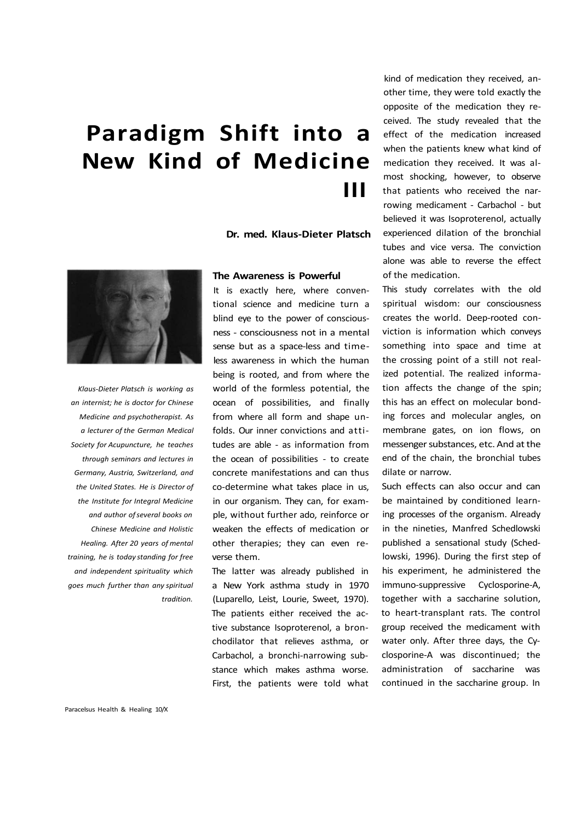**Dr. med. Klaus-Dieter Platsch** 



*Klaus-Dieter Platsch is working as an internist; he is doctor for Chinese Medicine and psychotherapist. As a lecturer of the German Medical Society for Acupuncture, he teaches through seminars and lectures in Germany, Austria, Switzerland, and the United States. He is Director of the Institute for Integral Medicine and author of several books on Chinese Medicine and Holistic Healing. After 20 years of mental training, he is today standing for free and independent spirituality which goes much further than any spiritual tradition.* 

#### **The Awareness is Powerful**

It is exactly here, where conventional science and medicine turn a blind eye to the power of consciousness - consciousness not in a mental sense but as a space-less and timeless awareness in which the human being is rooted, and from where the world of the formless potential, the ocean of possibilities, and finally from where all form and shape unfolds. Our inner convictions and attitudes are able - as information from the ocean of possibilities - to create concrete manifestations and can thus co-determine what takes place in us, in our organism. They can, for example, without further ado, reinforce or weaken the effects of medication or other therapies; they can even reverse them.

The latter was already published in a New York asthma study in 1970 (Luparello, Leist, Lourie, Sweet, 1970). The patients either received the active substance Isoproterenol, a bronchodilator that relieves asthma, or Carbachol, a bronchi-narrowing substance which makes asthma worse. First, the patients were told what

kind of medication they received, another time, they were told exactly the opposite of the medication they received. The study revealed that the effect of the medication increased when the patients knew what kind of medication they received. It was almost shocking, however, to observe that patients who received the narrowing medicament - Carbachol - but believed it was Isoproterenol, actually experienced dilation of the bronchial tubes and vice versa. The conviction alone was able to reverse the effect of the medication.

This study correlates with the old spiritual wisdom: our consciousness creates the world. Deep-rooted conviction is information which conveys something into space and time at the crossing point of a still not realized potential. The realized information affects the change of the spin; this has an effect on molecular bonding forces and molecular angles, on membrane gates, on ion flows, on messenger substances, etc. And at the end of the chain, the bronchial tubes dilate or narrow.

Such effects can also occur and can be maintained by conditioned learning processes of the organism. Already in the nineties, Manfred Schedlowski published a sensational study (Schedlowski, 1996). During the first step of his experiment, he administered the immuno-suppressive Cyclosporine-A, together with a saccharine solution, to heart-transplant rats. The control group received the medicament with water only. After three days, the Cyclosporine-A was discontinued; the administration of saccharine was continued in the saccharine group. In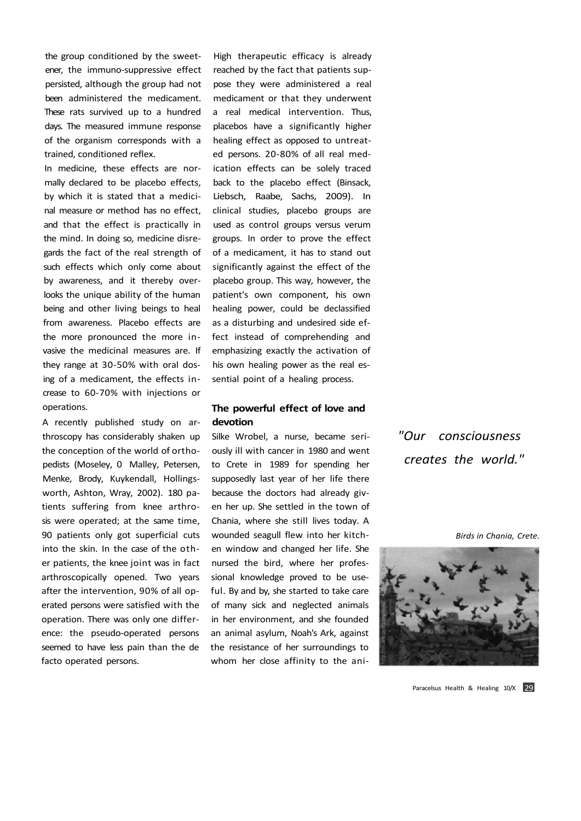the group conditioned by the sweetener, the immuno-suppressive effect persisted, although the group had not been administered the medicament. These rats survived up to a hundred days. The measured immune response of the organism corresponds with a trained, conditioned reflex.

In medicine, these effects are normally declared to be placebo effects, by which it is stated that a medicinal measure or method has no effect, and that the effect is practically in the mind. In doing so, medicine disregards the fact of the real strength of such effects which only come about by awareness, and it thereby overlooks the unique ability of the human being and other living beings to heal from awareness. Placebo effects are the more pronounced the more invasive the medicinal measures are. If they range at 30-50% with oral dosing of a medicament, the effects increase to 60-70% with injections or operations.

A recently published study on arthroscopy has considerably shaken up the conception of the world of orthopedists (Moseley, 0 Malley, Petersen, Menke, Brody, Kuykendall, Hollingsworth, Ashton, Wray, 2002). 180 patients suffering from knee arthrosis were operated; at the same time, 90 patients only got superficial cuts into the skin. In the case of the other patients, the knee joint was in fact arthroscopically opened. Two years after the intervention, 90% of all operated persons were satisfied with the operation. There was only one difference: the pseudo-operated persons seemed to have less pain than the de facto operated persons.

High therapeutic efficacy is already reached by the fact that patients suppose they were administered a real medicament or that they underwent a real medical intervention. Thus, placebos have a significantly higher healing effect as opposed to untreated persons. 20-80% of all real medication effects can be solely traced back to the placebo effect (Binsack, Liebsch, Raabe, Sachs, 2009). In clinical studies, placebo groups are used as control groups versus verum groups. In order to prove the effect of a medicament, it has to stand out significantly against the effect of the placebo group. This way, however, the patient's own component, his own healing power, could be declassified as a disturbing and undesired side effect instead of comprehending and emphasizing exactly the activation of his own healing power as the real essential point of a healing process.

## **The powerful effect of love and devotion**

Silke Wrobel, a nurse, became seriously ill with cancer in 1980 and went to Crete in 1989 for spending her supposedly last year of her life there because the doctors had already given her up. She settled in the town of Chania, where she still lives today. A wounded seagull flew into her kitchen window and changed her life. She nursed the bird, where her professional knowledge proved to be useful. By and by, she started to take care of many sick and neglected animals in her environment, and she founded an animal asylum, Noah's Ark, against the resistance of her surroundings to whom her close affinity to the ani*"Our consciousness creates the world."* 

*Birds in Chania, Crete.* 



Paracelsus Health & Healing 10/X 29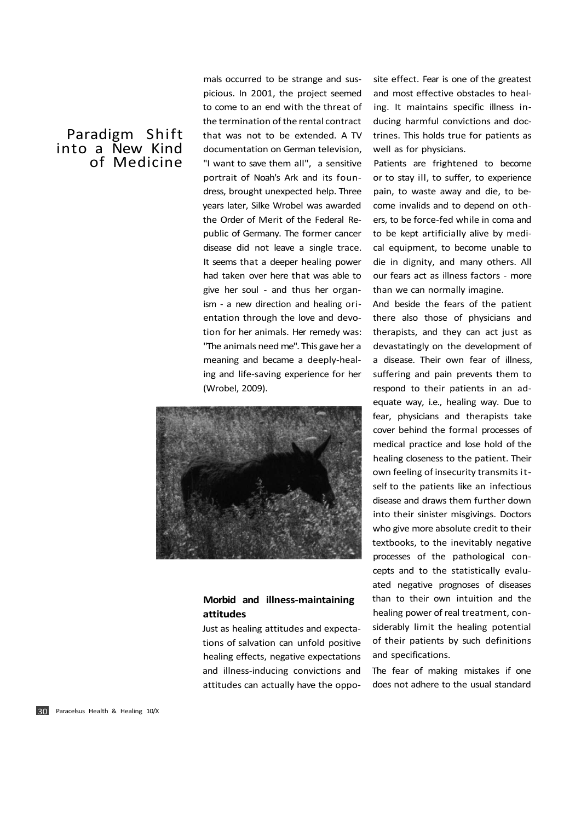mals occurred to be strange and suspicious. In 2001, the project seemed to come to an end with the threat of the termination of the rental contract that was not to be extended. A TV documentation on German television, "I want to save them all", a sensitive portrait of Noah's Ark and its foundress, brought unexpected help. Three years later, Silke Wrobel was awarded the Order of Merit of the Federal Republic of Germany. The former cancer disease did not leave a single trace. It seems that a deeper healing power had taken over here that was able to give her soul - and thus her organism - a new direction and healing orientation through the love and devotion for her animals. Her remedy was: "The animals need me". This gave her a meaning and became a deeply-healing and life-saving experience for her (Wrobel, 2009).



## **Morbid and illness-maintaining attitudes**

Just as healing attitudes and expectations of salvation can unfold positive healing effects, negative expectations and illness-inducing convictions and attitudes can actually have the oppo-

site effect. Fear is one of the greatest and most effective obstacles to healing. It maintains specific illness inducing harmful convictions and doctrines. This holds true for patients as well as for physicians.

Patients are frightened to become or to stay ill, to suffer, to experience pain, to waste away and die, to become invalids and to depend on others, to be force-fed while in coma and to be kept artificially alive by medical equipment, to become unable to die in dignity, and many others. All our fears act as illness factors - more than we can normally imagine.

And beside the fears of the patient there also those of physicians and therapists, and they can act just as devastatingly on the development of a disease. Their own fear of illness, suffering and pain prevents them to respond to their patients in an adequate way, i.e., healing way. Due to fear, physicians and therapists take cover behind the formal processes of medical practice and lose hold of the healing closeness to the patient. Their own feeling of insecurity transmits itself to the patients like an infectious disease and draws them further down into their sinister misgivings. Doctors who give more absolute credit to their textbooks, to the inevitably negative processes of the pathological concepts and to the statistically evaluated negative prognoses of diseases than to their own intuition and the healing power of real treatment, considerably limit the healing potential of their patients by such definitions and specifications.

The fear of making mistakes if one does not adhere to the usual standard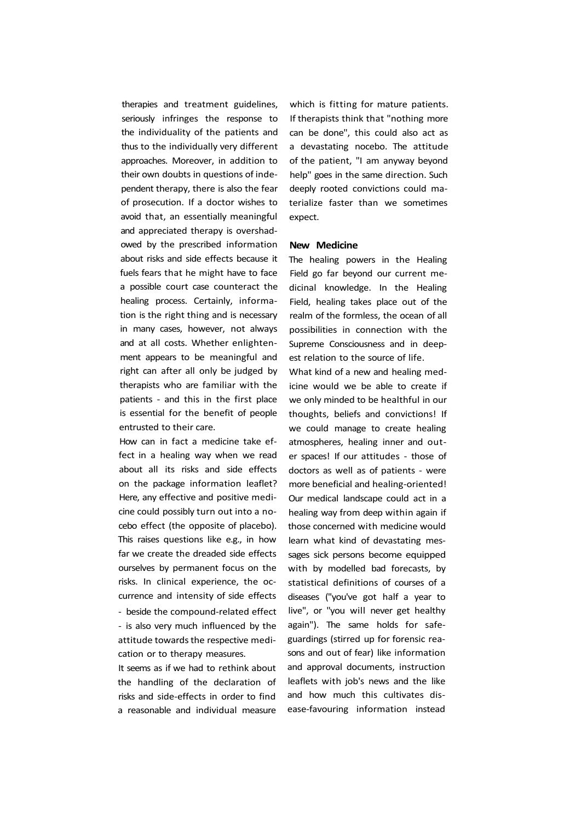therapies and treatment guidelines, seriously infringes the response to the individuality of the patients and thus to the individually very different approaches. Moreover, in addition to their own doubts in questions of independent therapy, there is also the fear of prosecution. If a doctor wishes to avoid that, an essentially meaningful and appreciated therapy is overshadowed by the prescribed information about risks and side effects because it fuels fears that he might have to face a possible court case counteract the healing process. Certainly, information is the right thing and is necessary in many cases, however, not always and at all costs. Whether enlightenment appears to be meaningful and right can after all only be judged by therapists who are familiar with the patients - and this in the first place is essential for the benefit of people entrusted to their care.

How can in fact a medicine take effect in a healing way when we read about all its risks and side effects on the package information leaflet? Here, any effective and positive medicine could possibly turn out into a nocebo effect (the opposite of placebo). This raises questions like e.g., in how far we create the dreaded side effects ourselves by permanent focus on the risks. In clinical experience, the occurrence and intensity of side effects - beside the compound-related effect - is also very much influenced by the attitude towards the respective medication or to therapy measures.

It seems as if we had to rethink about the handling of the declaration of risks and side-effects in order to find a reasonable and individual measure

which is fitting for mature patients. If therapists think that "nothing more can be done", this could also act as a devastating nocebo. The attitude of the patient, "I am anyway beyond help" goes in the same direction. Such deeply rooted convictions could materialize faster than we sometimes expect.

#### **New Medicine**

The healing powers in the Healing Field go far beyond our current medicinal knowledge. In the Healing Field, healing takes place out of the realm of the formless, the ocean of all possibilities in connection with the Supreme Consciousness and in deepest relation to the source of life.

What kind of a new and healing medicine would we be able to create if we only minded to be healthful in our thoughts, beliefs and convictions! If we could manage to create healing atmospheres, healing inner and outer spaces! If our attitudes - those of doctors as well as of patients - were more beneficial and healing-oriented! Our medical landscape could act in a healing way from deep within again if those concerned with medicine would learn what kind of devastating messages sick persons become equipped with by modelled bad forecasts, by statistical definitions of courses of a diseases ("you've got half a year to live", or "you will never get healthy again"). The same holds for safeguardings (stirred up for forensic reasons and out of fear) like information and approval documents, instruction leaflets with job's news and the like and how much this cultivates disease-favouring information instead